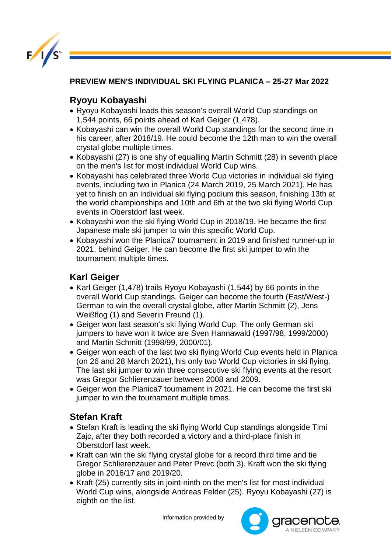

**PREVIEW MEN'S INDIVIDUAL SKI FLYING PLANICA – 25-27 Mar 2022** 

## **Ryoyu Kobayashi**

- Ryoyu Kobayashi leads this season's overall World Cup standings on 1,544 points, 66 points ahead of Karl Geiger (1,478).
- Kobayashi can win the overall World Cup standings for the second time in his career, after 2018/19. He could become the 12th man to win the overall crystal globe multiple times.
- Kobayashi (27) is one shy of equalling Martin Schmitt (28) in seventh place on the men's list for most individual World Cup wins.
- Kobayashi has celebrated three World Cup victories in individual ski flying events, including two in Planica (24 March 2019, 25 March 2021). He has yet to finish on an individual ski flying podium this season, finishing 13th at the world championships and 10th and 6th at the two ski flying World Cup events in Oberstdorf last week.
- Kobayashi won the ski flying World Cup in 2018/19. He became the first Japanese male ski jumper to win this specific World Cup.
- Kobayashi won the Planica7 tournament in 2019 and finished runner-up in 2021, behind Geiger. He can become the first ski jumper to win the tournament multiple times.

## **Karl Geiger**

- Karl Geiger (1,478) trails Ryoyu Kobayashi (1,544) by 66 points in the overall World Cup standings. Geiger can become the fourth (East/West-) German to win the overall crystal globe, after Martin Schmitt (2), Jens Weißflog (1) and Severin Freund (1).
- Geiger won last season's ski flying World Cup. The only German ski jumpers to have won it twice are Sven Hannawald (1997/98, 1999/2000) and Martin Schmitt (1998/99, 2000/01).
- Geiger won each of the last two ski flying World Cup events held in Planica (on 26 and 28 March 2021), his only two World Cup victories in ski flying. The last ski jumper to win three consecutive ski flying events at the resort was Gregor Schlierenzauer between 2008 and 2009.
- Geiger won the Planica7 tournament in 2021. He can become the first ski jumper to win the tournament multiple times.

## **Stefan Kraft**

- Stefan Kraft is leading the ski flying World Cup standings alongside Timi Zajc, after they both recorded a victory and a third-place finish in Oberstdorf last week.
- Kraft can win the ski flying crystal globe for a record third time and tie Gregor Schlierenzauer and Peter Prevc (both 3). Kraft won the ski flying globe in 2016/17 and 2019/20.
- Kraft (25) currently sits in joint-ninth on the men's list for most individual World Cup wins, alongside Andreas Felder (25). Ryoyu Kobayashi (27) is eighth on the list.

Information provided by